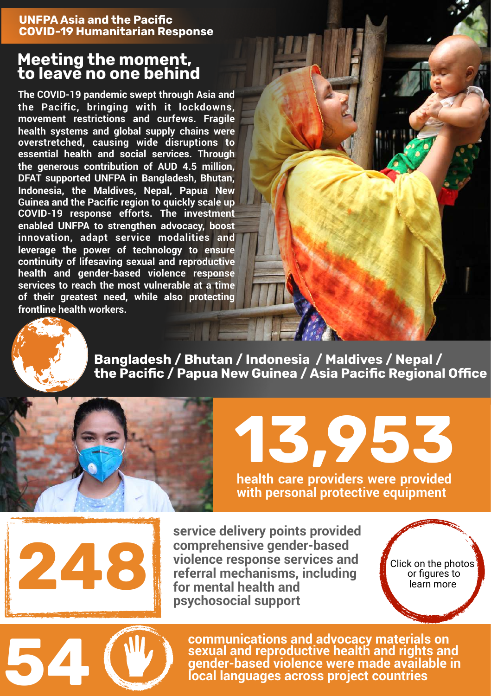## **UNFPA Asia and the Pacific COVID-19 Humanitarian Response**

## **Meeting the moment, to leave no one behind**

**The COVID-19 pandemic swept through Asia and the Pacific, bringing with it lockdowns, movement restrictions and curfews. Fragile health systems and global supply chains were overstretched, causing wide disruptions to essential health and social services. Through the generous contribution of AUD 4.5 million, DFAT supported UNFPA in Bangladesh, Bhutan, Indonesia, the Maldives, Nepal, Papua New Guinea and the Pacific region to quickly scale up COVID-19 response efforts. The investment enabled UNFPA to strengthen advocacy, boost innovation, adapt service modalities and leverage the power of technology to ensure continuity of lifesaving sexual and reproductive health and gender-based violence response services to reach the most vulnerable at a time of their greatest need, while also protecting frontline health workers.**



**Bangladesh / Bhutan / Indonesia / Maldives / Nepal / the Pacific / Papua New Guinea / Asia Pacific Regional Office**

- 114



**health care providers were provided [13,953](https://asiapacific.unfpa.org/en/stories-indonesia-ppe)** 

**with personal protective equipment**



**service delivery points provided comprehensive gender-based violence response services and referral mechanisms, including for mental health and psychosocial support**

[Click on the photos](https://asiapacific.unfpa.org/en/dfat-pandemic-support)<sup>®</sup>  [or figures to](https://asiapacific.unfpa.org/en/dfat-pandemic-support)  [learn more](https://asiapacific.unfpa.org/en/dfat-pandemic-support)

**communications and advocacy materials on sexual and reproductive health and rights and for the conduction of the sexual and reproductive health and rights and gender-based violence were made available in local languages across project countries**